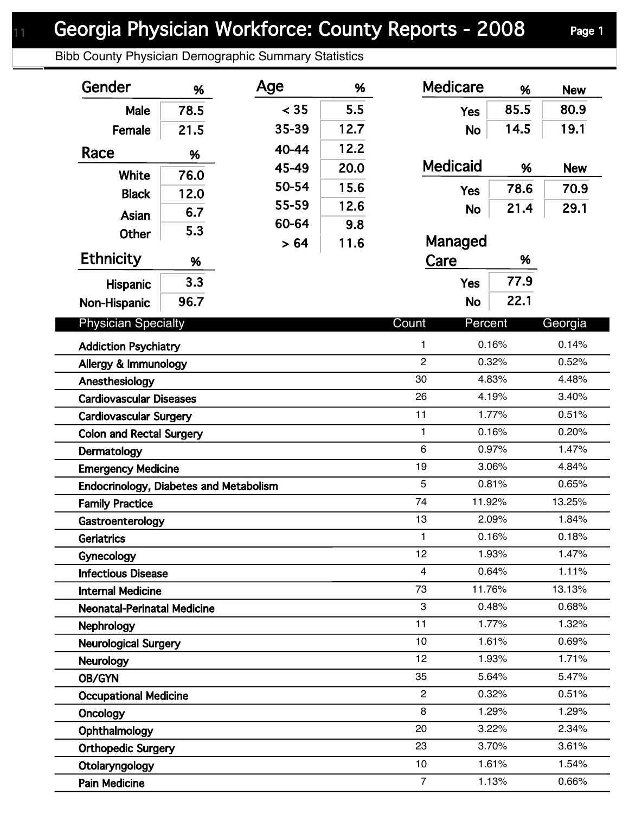Bibb County Physician Demographic Summary Statistics

| Gender                                 | %    | Age   | %    | <b>Medicare</b> | %       | <b>New</b> |
|----------------------------------------|------|-------|------|-----------------|---------|------------|
| Male                                   | 78.5 | < 35  | 5.5  | <b>Yes</b>      | 85.5    | 80.9       |
| Female                                 | 21.5 | 35-39 | 12.7 | <b>No</b>       | 14.5    | 19.1       |
| Race                                   |      | 40-44 | 12.2 |                 |         |            |
|                                        | %    | 45-49 | 20.0 | <b>Medicaid</b> | %       | <b>New</b> |
| White                                  | 76.0 | 50-54 | 15.6 |                 | 78.6    | 70.9       |
| <b>Black</b>                           | 12.0 | 55-59 | 12.6 | <b>Yes</b>      |         |            |
| Asian                                  | 6.7  | 60-64 | 9.8  | <b>No</b>       | 21.4    | 29.1       |
| <b>Other</b>                           | 5.3  | > 64  | 11.6 | Managed         |         |            |
| <b>Ethnicity</b>                       | %    |       |      | Care            | %       |            |
|                                        |      |       |      |                 | 77.9    |            |
| <b>Hispanic</b>                        | 3.3  |       |      | <b>Yes</b>      |         |            |
| Non-Hispanic                           | 96.7 |       |      | <b>No</b>       | 22.1    |            |
| <b>Physician Specialty</b>             |      |       |      | Count           | Percent | Georgia    |
| <b>Addiction Psychiatry</b>            |      |       |      | 1               | 0.16%   | 0.14%      |
| Allergy & Immunology                   |      |       |      | $\overline{2}$  | 0.32%   | 0.52%      |
| Anesthesiology                         |      |       |      | 30              | 4.83%   | 4.48%      |
| <b>Cardiovascular Diseases</b>         |      |       |      | 26              | 4.19%   |            |
| <b>Cardiovascular Surgery</b>          |      |       |      | 11              | 1.77%   | 0.51%      |
| <b>Colon and Rectal Surgery</b>        |      |       |      | 1               | 0.16%   | 0.20%      |
| Dermatology                            |      |       |      | 6               | 0.97%   | 1.47%      |
| <b>Emergency Medicine</b>              |      |       |      | 19              | 3.06%   | 4.84%      |
| Endocrinology, Diabetes and Metabolism |      |       |      | 5               | 0.81%   | 0.65%      |
| <b>Family Practice</b>                 |      |       |      | 74              | 11.92%  | 13.25%     |
| Gastroenterology                       |      |       |      | 13              | 2.09%   | 1.84%      |
| Geriatrics                             |      |       |      | 1               | 0.16%   | 0.18%      |
| Gynecology                             |      |       |      | 12              | 1.93%   | 1.47%      |
| <b>Infectious Disease</b>              |      |       |      | 4               | 0.64%   | 1.11%      |
| <b>Internal Medicine</b>               |      |       |      | 73              | 11.76%  | 13.13%     |
| <b>Neonatal-Perinatal Medicine</b>     |      |       |      | 3               | 0.48%   | 0.68%      |
| <b>Nephrology</b>                      |      |       |      | 11              | 1.77%   | 1.32%      |
| <b>Neurological Surgery</b>            |      |       |      | 10              | 1.61%   | 0.69%      |
| Neurology                              |      |       |      | 12              | 1.93%   | 1.71%      |
| OB/GYN                                 |      |       |      | 35              | 5.64%   | 5.47%      |
| <b>Occupational Medicine</b>           |      |       |      | $\overline{2}$  | 0.32%   | 0.51%      |
| Oncology                               |      |       |      | 8               | 1.29%   | 1.29%      |
| Ophthalmology                          |      |       |      | 20              | 3.22%   | 2.34%      |
| <b>Orthopedic Surgery</b>              |      |       |      | 23              | 3.70%   | 3.61%      |
| Otolaryngology                         |      |       |      | 10              | 1.61%   | 1.54%      |
| <b>Pain Medicine</b>                   |      |       |      | $\overline{7}$  | 1.13%   | 0.66%      |